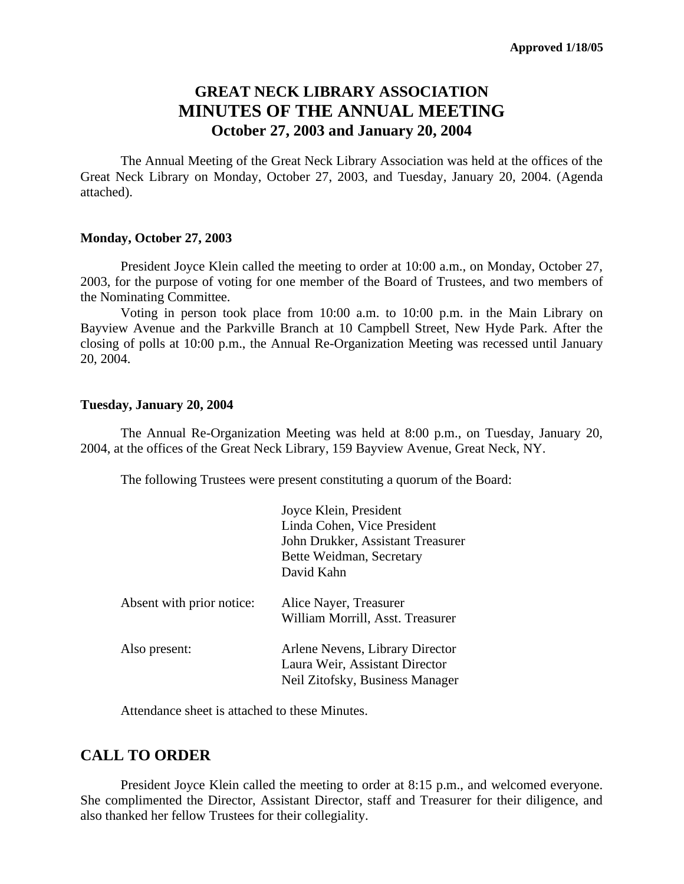# **GREAT NECK LIBRARY ASSOCIATION MINUTES OF THE ANNUAL MEETING October 27, 2003 and January 20, 2004**

The Annual Meeting of the Great Neck Library Association was held at the offices of the Great Neck Library on Monday, October 27, 2003, and Tuesday, January 20, 2004. (Agenda attached).

#### **Monday, October 27, 2003**

President Joyce Klein called the meeting to order at 10:00 a.m., on Monday, October 27, 2003, for the purpose of voting for one member of the Board of Trustees, and two members of the Nominating Committee.

Voting in person took place from 10:00 a.m. to 10:00 p.m. in the Main Library on Bayview Avenue and the Parkville Branch at 10 Campbell Street, New Hyde Park. After the closing of polls at 10:00 p.m., the Annual Re-Organization Meeting was recessed until January 20, 2004.

#### **Tuesday, January 20, 2004**

The Annual Re-Organization Meeting was held at 8:00 p.m., on Tuesday, January 20, 2004, at the offices of the Great Neck Library, 159 Bayview Avenue, Great Neck, NY.

The following Trustees were present constituting a quorum of the Board:

|                           | Joyce Klein, President                                                                               |
|---------------------------|------------------------------------------------------------------------------------------------------|
|                           | Linda Cohen, Vice President                                                                          |
|                           | John Drukker, Assistant Treasurer                                                                    |
|                           | Bette Weidman, Secretary                                                                             |
|                           | David Kahn                                                                                           |
| Absent with prior notice: | Alice Nayer, Treasurer<br>William Morrill, Asst. Treasurer                                           |
| Also present:             | Arlene Nevens, Library Director<br>Laura Weir, Assistant Director<br>Neil Zitofsky, Business Manager |

Attendance sheet is attached to these Minutes.

#### **CALL TO ORDER**

President Joyce Klein called the meeting to order at 8:15 p.m., and welcomed everyone. She complimented the Director, Assistant Director, staff and Treasurer for their diligence, and also thanked her fellow Trustees for their collegiality.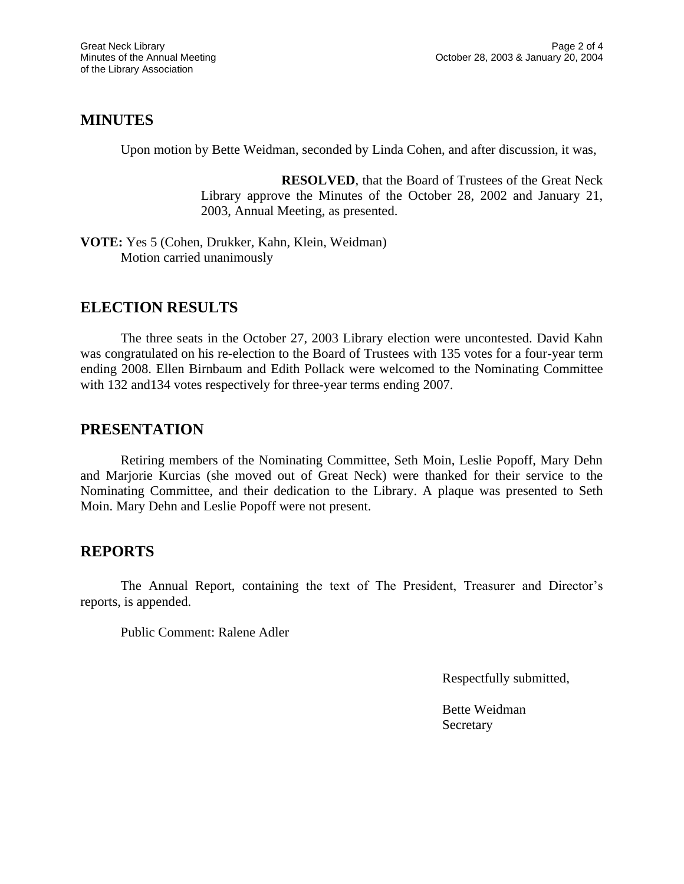#### **MINUTES**

Upon motion by Bette Weidman, seconded by Linda Cohen, and after discussion, it was,

**RESOLVED**, that the Board of Trustees of the Great Neck Library approve the Minutes of the October 28, 2002 and January 21, 2003, Annual Meeting, as presented.

**VOTE:** Yes 5 (Cohen, Drukker, Kahn, Klein, Weidman) Motion carried unanimously

## **ELECTION RESULTS**

The three seats in the October 27, 2003 Library election were uncontested. David Kahn was congratulated on his re-election to the Board of Trustees with 135 votes for a four-year term ending 2008. Ellen Birnbaum and Edith Pollack were welcomed to the Nominating Committee with 132 and 134 votes respectively for three-year terms ending 2007.

## **PRESENTATION**

Retiring members of the Nominating Committee, Seth Moin, Leslie Popoff, Mary Dehn and Marjorie Kurcias (she moved out of Great Neck) were thanked for their service to the Nominating Committee, and their dedication to the Library. A plaque was presented to Seth Moin. Mary Dehn and Leslie Popoff were not present.

## **REPORTS**

The Annual Report, containing the text of The President, Treasurer and Director's reports, is appended.

Public Comment: Ralene Adler

Respectfully submitted,

Bette Weidman **Secretary**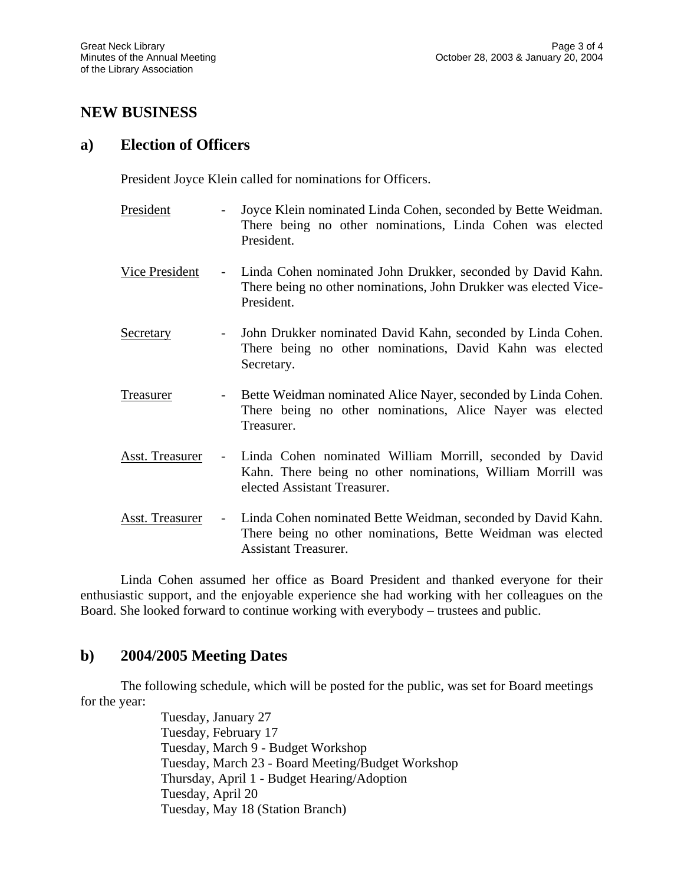## **NEW BUSINESS**

#### **a) Election of Officers**

President Joyce Klein called for nominations for Officers.

- President Joyce Klein nominated Linda Cohen, seconded by Bette Weidman. There being no other nominations, Linda Cohen was elected President.
- Vice President Linda Cohen nominated John Drukker, seconded by David Kahn. There being no other nominations, John Drukker was elected Vice-President.
- Secretary John Drukker nominated David Kahn, seconded by Linda Cohen. There being no other nominations, David Kahn was elected Secretary.
- Treasurer Bette Weidman nominated Alice Nayer, seconded by Linda Cohen. There being no other nominations, Alice Nayer was elected Treasurer.
- Asst. Treasurer Linda Cohen nominated William Morrill, seconded by David Kahn. There being no other nominations, William Morrill was elected Assistant Treasurer.
- Asst. Treasurer Linda Cohen nominated Bette Weidman, seconded by David Kahn. There being no other nominations, Bette Weidman was elected Assistant Treasurer.

Linda Cohen assumed her office as Board President and thanked everyone for their enthusiastic support, and the enjoyable experience she had working with her colleagues on the Board. She looked forward to continue working with everybody – trustees and public.

## **b) 2004/2005 Meeting Dates**

The following schedule, which will be posted for the public, was set for Board meetings for the year:

> Tuesday, January 27 Tuesday, February 17 Tuesday, March 9 - Budget Workshop Tuesday, March 23 - Board Meeting/Budget Workshop Thursday, April 1 - Budget Hearing/Adoption Tuesday, April 20 Tuesday, May 18 (Station Branch)